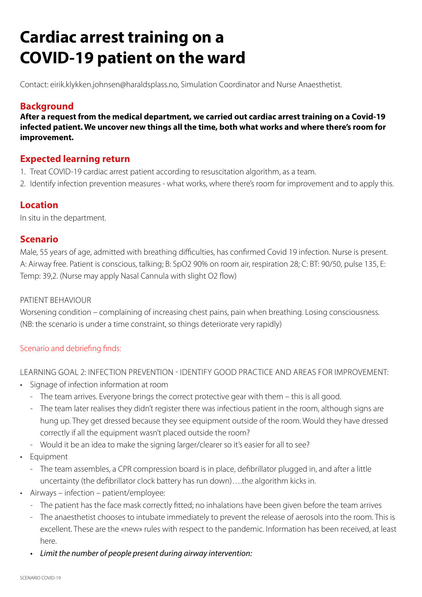# **Cardiac arrest training on a COVID-19 patient on the ward**

Contact: eirik.klykken.johnsen@haraldsplass.no, Simulation Coordinator and Nurse Anaesthetist.

# **Background**

**After a request from the medical department, we carried out cardiac arrest training on a Covid-19 infected patient. We uncover new things all the time, both what works and where there's room for improvement.**

### **Expected learning return**

- 1. Treat COVID-19 cardiac arrest patient according to resuscitation algorithm, as a team.
- 2. Identify infection prevention measures what works, where there's room for improvement and to apply this.

## **Location**

In situ in the department.

#### **Scenario**

Male, 55 years of age, admitted with breathing difficulties, has confirmed Covid 19 infection. Nurse is present. A: Airway free. Patient is conscious, talking; B: SpO2 90% on room air, respiration 28; C: BT: 90/50, pulse 135, E: Temp: 39,2. (Nurse may apply Nasal Cannula with slight O2 flow)

#### PATIENT BEHAVIOUR

Worsening condition – complaining of increasing chest pains, pain when breathing. Losing consciousness. (NB: the scenario is under a time constraint, so things deteriorate very rapidly)

#### Scenario and debriefing finds:

LEARNING GOAL 2: INFECTION PREVENTION - IDENTIFY GOOD PRACTICE AND AREAS FOR IMPROVEMENT:

- Signage of infection information at room
	- The team arrives. Everyone brings the correct protective gear with them this is all good.
	- The team later realises they didn't register there was infectious patient in the room, although signs are hung up. They get dressed because they see equipment outside of the room. Would they have dressed correctly if all the equipment wasn't placed outside the room?
	- Would it be an idea to make the signing larger/clearer so it's easier for all to see?
- Equipment
	- The team assembles, a CPR compression board is in place, defibrillator plugged in, and after a little uncertainty (the defibrillator clock battery has run down)….the algorithm kicks in.
- Airways infection patient/employee:
	- The patient has the face mask correctly fitted; no inhalations have been given before the team arrives
	- The anaesthetist chooses to intubate immediately to prevent the release of aerosols into the room. This is excellent. These are the «new» rules with respect to the pandemic. Information has been received, at least here.
	- *• Limit the number of people present during airway intervention:*